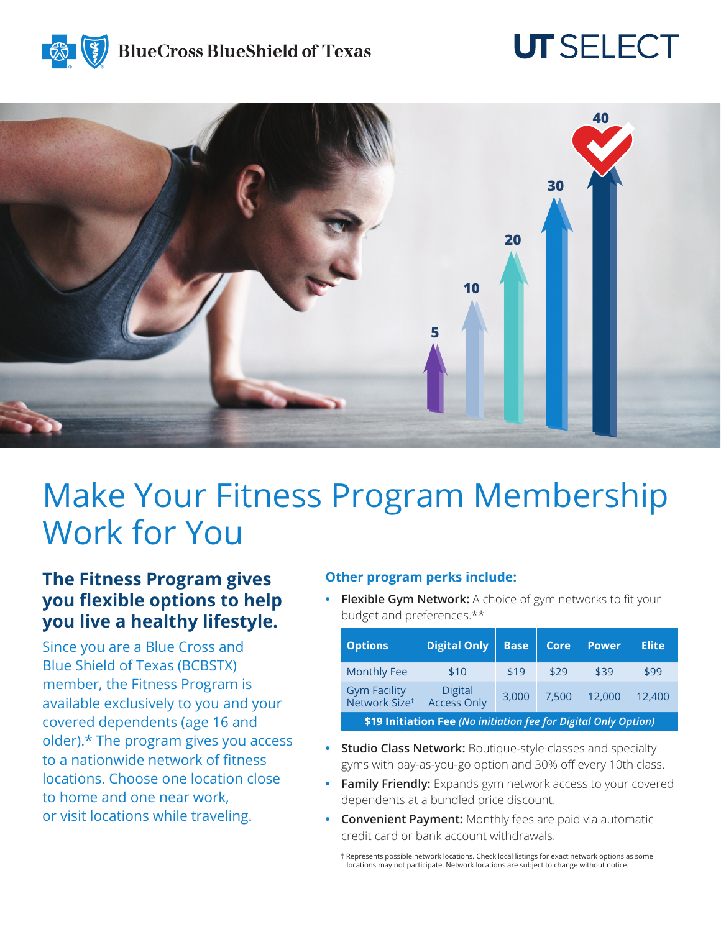## **BlueCross BlueShield of Texas**

# **UT SELECT**



# Make Your Fitness Program Membership Work for You

### **The Fitness Program gives you flexible options to help you live a healthy lifestyle.**

Since you are a Blue Cross and Blue Shield of Texas (BCBSTX) member, the Fitness Program is available exclusively to you and your covered dependents (age 16 and older).\* The program gives you access to a nationwide network of fitness locations. Choose one location close to home and one near work, or visit locations while traveling.

#### **Other program perks include:**

**• Flexible Gym Network:** A choice of gym networks to fit your budget and preferences.\*\*

| <b>Options</b>                                                  | <b>Digital Only</b>                  | <b>Base</b> | <b>Core</b> | <b>Power</b> | <b>Elite</b> |
|-----------------------------------------------------------------|--------------------------------------|-------------|-------------|--------------|--------------|
| <b>Monthly Fee</b>                                              | \$10                                 | \$19        | \$29        | \$39         | \$99         |
| <b>Gym Facility</b><br>Network Size <sup>t</sup>                | <b>Digital</b><br><b>Access Only</b> | 3,000       | 7.500       | 12,000       | 12,400       |
| \$19 Initiation Fee (No initiation fee for Digital Only Option) |                                      |             |             |              |              |

- **• Studio Class Network:** Boutique-style classes and specialty gyms with pay-as-you-go option and 30% off every 10th class.
- **• Family Friendly:** Expands gym network access to your covered dependents at a bundled price discount.
- **• Convenient Payment:** Monthly fees are paid via automatic credit card or bank account withdrawals.

† Represents possible network locations. Check local listings for exact network options as some locations may not participate. Network locations are subject to change without notice.